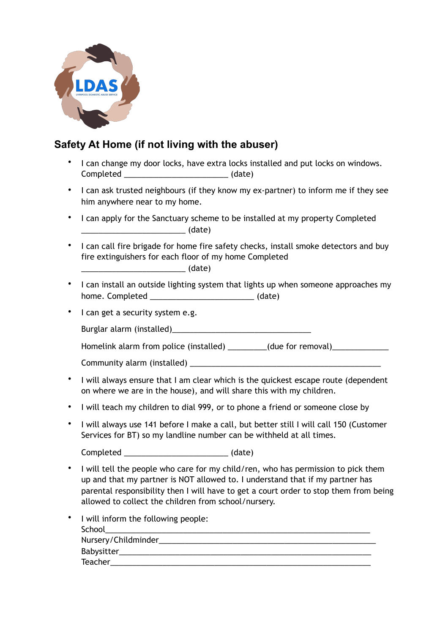

## **Safety At Home (if not living with the abuser)**

- I can change my door locks, have extra locks installed and put locks on windows. Completed \_\_\_\_\_\_\_\_\_\_\_\_\_\_\_\_\_\_\_\_\_\_\_\_ (date)
- I can ask trusted neighbours (if they know my ex-partner) to inform me if they see him anywhere near to my home.
- I can apply for the Sanctuary scheme to be installed at my property Completed  $_1$  (date)
- I can call fire brigade for home fire safety checks, install smoke detectors and buy fire extinguishers for each floor of my home Completed

 $_1$  (date)

- I can install an outside lighting system that lights up when someone approaches my home. Completed \_\_\_\_\_\_\_\_\_\_\_\_\_\_\_\_\_\_\_\_\_\_\_\_\_\_\_\_\_\_\_\_\_\_ (date)
- I can get a security system e.g.

Burglar alarm (installed)

Homelink alarm from police (installed) \_\_\_\_\_\_\_\_(due for removal) \_\_\_\_\_\_\_\_\_\_\_\_\_\_\_

Community alarm (installed)

- I will always ensure that I am clear which is the quickest escape route (dependent on where we are in the house), and will share this with my children.
- I will teach my children to dial 999, or to phone a friend or someone close by
- I will always use 141 before I make a call, but better still I will call 150 (Customer Services for BT) so my landline number can be withheld at all times.

Completed \_\_\_\_\_\_\_\_\_\_\_\_\_\_\_\_\_\_\_\_\_\_\_\_ (date)

• I will tell the people who care for my child/ren, who has permission to pick them up and that my partner is NOT allowed to. I understand that if my partner has parental responsibility then I will have to get a court order to stop them from being allowed to collect the children from school/nursery.

| • I will inform the following people: |
|---------------------------------------|
| School                                |
| Nursery/Childminder______________     |
| Babysitter__________________          |
| <b>Teacher</b>                        |